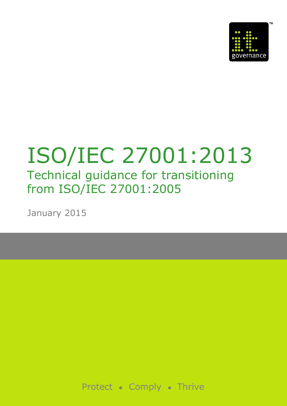

# ISO/IEC 27001:2013 Technical guidance for transitioning from ISO/IEC 27001:2005

January 2015

 $\Box$  IT Governance Ltd 2015 1 Technical Guidance for ISO 27001:2013 27001:2013 27001:2013 27001:2013 27001:2013 27001:2013 27001:2013 27001:2013 27001:2013 27001:2013 27001:2013 27001:2013 27001:2013 27001:2013 27001:2013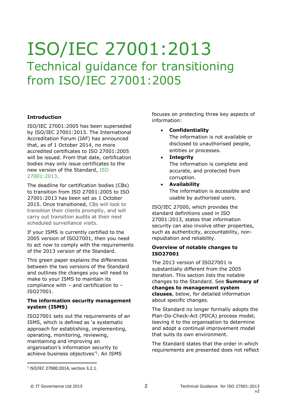## ISO/IEC 27001:2013 Technical guidance for transitioning from ISO/IEC 27001:2005

#### **Introduction**

ISO/IEC 27001:2005 has been superseded by ISO/IEC 27001:2013. The International Accreditation Forum (IAF) has announced that, as of 1 October 2014, no more accredited certificates to ISO 27001:2005 will be issued. From that date, certification bodies may only issue certificates to the new version of the Standard, [ISO](https://www.itgovernance.co.uk/shop/product/isoiec-27001-2013-iso-27001-standard-isms-requirementsutm_source=green-paper&utm_medium=technicalguidance)  [27001:2013.](https://www.itgovernance.co.uk/shop/product/isoiec-27001-2013-iso-27001-standard-isms-requirementsutm_source=green-paper&utm_medium=technicalguidance)

The deadline for certification bodies (CBs) to transition from ISO 27001:2005 to ISO 27001:2013 has been set as 1 October 2015. Once transitioned, CBs will look to transition their clients promptly, and will carry out transition audits at their next scheduled surveillance visits.

If your ISMS is currently certified to the 2005 version of ISO27001, then you need to act now to comply with the requirements of the 2013 version of the Standard.

This green paper explains the differences between the two versions of the Standard and outlines the changes you will need to make to your ISMS to maintain its compliance with – and certification to – ISO27001.

#### **The information security management system (ISMS)**

ISO27001 sets out the requirements of an ISMS, which is defined as 'a systematic approach for establishing, implementing, operating, monitoring, reviewing, maintaining and improving an organisation's information security to achieve business objectives' 1 . An ISMS

focuses on protecting three key aspects of information:

**Confidentiality**

The information is not available or disclosed to unauthorised people, entities or processes.

- **Integrity** The information is complete and accurate, and protected from corruption.
- **Availability** The information is accessible and usable by authorised users.

ISO/IEC 27000, which provides the standard definitions used in ISO 27001:2013, states that information security can also involve other properties, such as authenticity, accountability, nonrepudiation and reliability.

#### **Overview of notable changes to ISO27001**

The 2013 version of ISO27001 is substantially different from the 2005 iteration. This section lists the notable changes to the Standard. See **Summary of changes to management system clauses**, below, for detailed information about specific changes.

The Standard no longer formally adopts the Plan-Do-Check-Act (PDCA) process model, leaving it to the organisation to determine and adopt a continual improvement model that suits its own environment.

The Standard states that the order in which requirements are presented does not reflect

<sup>1</sup> ISO/IEC 27000:2014, section 3.2.1.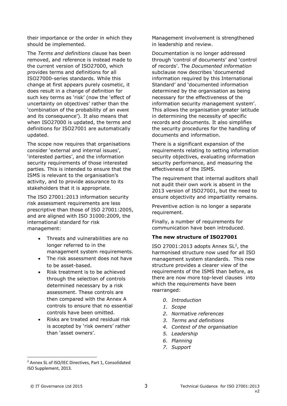their importance or the order in which they should be implemented.

The *Terms and definitions* clause has been removed, and reference is instead made to the current version of ISO27000, which provides terms and definitions for all ISO27000-series standards. While this change at first appears purely cosmetic, it does result in a change of definition for such key terms as 'risk' (now the 'effect of uncertainty on objectives' rather than the 'combination of the probability of an event and its consequence'). It also means that when ISO27000 is updated, the terms and definitions for ISO27001 are automatically updated.

The scope now requires that organisations consider 'external and internal issues', 'interested parties', and the information security requirements of those interested parties. This is intended to ensure that the ISMS is relevant to the organisation's activity, and to provide assurance to its stakeholders that it is appropriate.

The ISO 27001:2013 information security risk assessment requirements are less prescriptive than those of ISO 27001:2005, and are aligned with ISO 31000:2009, the international standard for risk management:

- Threats and vulnerabilities are no longer referred to in the management system requirements.
- The risk assessment does not have to be asset-based.
- Risk treatment is to be achieved through the selection of controls determined necessary by a risk assessment. These controls are then compared with the Annex A controls to ensure that no essential controls have been omitted.
- Risks are treated and residual risk is accepted by 'risk owners' rather than 'asset owners'.

Management involvement is strengthened in leadership and review.

Documentation is no longer addressed through 'control of documents' and 'control of records'. The *Documented information* subclause now describes 'documented information required by this International Standard' and 'documented information determined by the organisation as being necessary for the effectiveness of the information security management system'. This allows the organisation greater latitude in determining the necessity of specific records and documents. It also simplifies the security procedures for the handling of documents and information.

There is a significant expansion of the requirements relating to setting information security objectives, evaluating information security performance, and measuring the effectiveness of the ISMS.

The requirement that internal auditors shall not audit their own work is absent in the 2013 version of ISO27001, but the need to ensure objectivity and impartiality remains.

Preventive action is no longer a separate requirement.

Finally, a number of requirements for communication have been introduced.

#### **The new structure of ISO27001**

ISO 27001:2013 adopts Annex  $SL<sup>2</sup>$ , the harmonised structure now used for all ISO management system standards. This new structure provides a clearer view of the requirements of the ISMS than before, as there are now more top-level clauses into which the requirements have been rearranged:

- *0. Introduction*
- *1. Scope*
- *2. Normative references*
- *3. Terms and definitions*
- *4. Context of the organisation*
- *5. Leadership*
- *6. Planning*
- *7. Support*

<sup>2</sup> Annex SL of ISO/IEC Directives, Part 1, Consolidated ISO Supplement, 2013.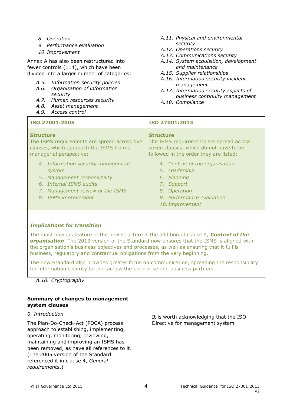- *8. Operation*
- *9. Performance evaluation*
- *10. Improvement*

Annex A has also been restructured into fewer controls (114), which have been divided into a larger number of categories:

- *A.5. Information security policies*
- *A.6. Organisation of information security*
- *A.7. Human resources security*
- *A.8. Asset management*
- *A.9. Access control*

#### **ISO 27001:2005 ISO 27001:2013**

#### **Structure**

The ISMS requirements are spread across five clauses, which approach the ISMS from a managerial perspective:

- *4. Information security management system*
- *5. Management responsibility*
- *6. Internal ISMS audits*
- *7. Management review of the ISMS*
- *8. ISMS improvement*
- *A.11. Physical and environmental security*
- *A.12. Operations security*
- *A.13. Communications security*
- *A.14. System acquisition, development and maintenance*
- *A.15. Supplier relationships*
- *A.16. Information security incident management*
- *A.17. Information security aspects of business continuity management*
- *A.18. Compliance*

#### **Structure**

The ISMS requirements are spread across seven clauses, which do not have to be followed in the order they are listed:

- *4. Context of the organisation*
- *5. Leadership*
- *6. Planning*
- *7. Support*
- *8. Operation*
- *9. Performance evaluation*
- *10. Improvement*

#### *Implications for transition*

The most obvious feature of the new structure is the addition of clause 4, *Context of the organisation*. The 2013 version of the Standard now ensures that the ISMS is aligned with the organisation's business objectives and processes, as well as ensuring that it fulfils business, regulatory and contractual obligations from the very beginning.

The new Standard also provides greater focus on communication, spreading the responsibility for information security further across the enterprise and business partners.

#### *A.10. Cryptography*

#### **Summary of changes to management system clauses**

#### *0. Introduction*

The Plan-Do-Check-Act (PDCA) process approach to establishing, implementing, operating, monitoring, reviewing, maintaining and improving an ISMS has been removed, as have all references to it. (The 2005 version of the Standard referenced it in clause 4, *General requirements*.)

It is worth acknowledging that the ISO Directive for management system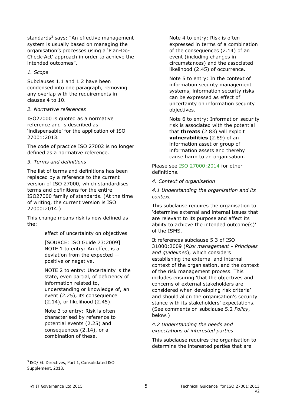standards $3$  says: "An effective management system is usually based on managing the organisation's processes using a 'Plan-Do-Check-Act' approach in order to achieve the intended outcomes".

#### *1. Scope*

Subclauses 1.1 and 1.2 have been condensed into one paragraph, removing any overlap with the requirements in clauses 4 to 10.

#### *2. Normative references*

ISO27000 is quoted as a normative reference and is described as 'indispensable' for the application of ISO 27001:2013.

The code of practice ISO 27002 is no longer defined as a normative reference.

#### *3. Terms and definitions*

The list of terms and definitions has been replaced by a reference to the current version of ISO 27000, which standardises terms and definitions for the entire ISO27000 family of standards. (At the time of writing, the current version is ISO 27000:2014.)

This change means risk is now defined as the:

effect of uncertainty on objectives

[SOURCE: ISO Guide 73:2009] NOTE 1 to entry: An effect is a deviation from the expected positive or negative.

NOTE 2 to entry: Uncertainty is the state, even partial, of deficiency of information related to, understanding or knowledge of, an event (2.25), its consequence (2.14), or likelihood (2.45).

Note 3 to entry: Risk is often characterised by reference to potential events (2.25) and consequences (2.14), or a combination of these.

Note 4 to entry: Risk is often expressed in terms of a combination of the consequences (2.14) of an event (including changes in circumstances) and the associated likelihood (2.45) of occurrence.

Note 5 to entry: In the context of information security management systems, information security risks can be expressed as effect of uncertainty on information security objectives.

Note 6 to entry: Information security risk is associated with the potential that **threats** (2.83) will exploit **vulnerabilities** (2.89) of an information asset or group of information assets and thereby cause harm to an organisation.

Please see [ISO 27000:2014](http://www.itgovernance.co.uk/shop/p-707-isoiec-27000-2014-iso-27000-iso27000-isms-overview-and-vocabulary.aspx?utm_source=green-paper&utm_medium=technicalguidance) for other definitions.

#### *4. Context of organisation*

*4.1 Understanding the organisation and its context*

This subclause requires the organisation to 'determine external and internal issues that are relevant to its purpose and affect its ability to achieve the intended outcome(s)' of the ISMS.

It references subclause 5.3 of ISO 31000:2009 (*Risk management - Principles and guidelines*), which considers establishing the external and internal context of the organisation, and the context of the risk management process. This includes ensuring 'that the objectives and concerns of external stakeholders are considered when developing risk criteria' and should align the organisation's security stance with its stakeholders' expectations. (See comments on subclause 5.2 *Policy*, below.)

#### *4.2 Understanding the needs and expectations of interested parties*

This subclause requires the organisation to determine the interested parties that are

<sup>3</sup> ISO/IEC Directives, Part 1, Consolidated ISO Supplement, 2013.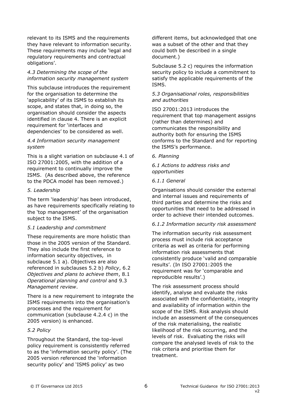relevant to its ISMS and the requirements they have relevant to information security. These requirements may include 'legal and regulatory requirements and contractual obligations'.

#### *4.3 Determining the scope of the information security management system*

This subclause introduces the requirement for the organisation to determine the 'applicability' of its ISMS to establish its scope, and states that, in doing so, the organisation should consider the aspects identified in clause 4. There is an explicit requirement for 'interfaces and dependencies' to be considered as well.

#### *4.4 Information security management system*

This is a slight variation on subclause 4.1 of ISO 27001:2005, with the addition of a requirement to continually improve the ISMS. (As described above, the reference to the PDCA model has been removed.)

#### *5. Leadership*

The term 'leadership' has been introduced, as have requirements specifically relating to the 'top management' of the organisation subject to the ISMS.

#### *5.1 Leadership and commitment*

These requirements are more holistic than those in the 2005 version of the Standard. They also include the first reference to information security objectives, in subclause 5.1 a). Objectives are also referenced in subclauses 5.2 b) *Policy*, 6.2 *Objectives and plans to achieve them*, 8.1 *Operational planning and control* and 9.3 *Management review*.

There is a new requirement to integrate the ISMS requirements into the organisation's processes and the requirement for communication (subclause 4.2.4 c) in the 2005 version) is enhanced.

#### *5.2 Policy*

Throughout the Standard, the top-level policy requirement is consistently referred to as the 'information security policy'. (The 2005 version referenced the 'information security policy' and 'ISMS policy' as two

different items, but acknowledged that one was a subset of the other and that they could both be described in a single document.)

Subclause 5.2 c) requires the information security policy to include a commitment to satisfy the applicable requirements of the ISMS.

#### *5.3 Organisational roles, responsibilities and authorities*

ISO 27001:2013 introduces the requirement that top management assigns (rather than determines) and communicates the responsibility and authority both for ensuring the ISMS conforms to the Standard and for reporting the ISMS's performance.

#### *6. Planning*

#### *6.1 Actions to address risks and opportunities*

#### *6.1.1 General*

Organisations should consider the external and internal issues and requirements of third parties and determine the risks and opportunities that need to be addressed in order to achieve their intended outcomes.

#### *6.1.2 Information security risk assessment*

The information security risk assessment process must include risk acceptance criteria as well as criteria for performing information risk assessments that consistently produce 'valid and comparable results'. (In ISO 27001:2005 the requirement was for 'comparable and reproducible results'.)

The risk assessment process should identify, analyse and evaluate the risks associated with the confidentiality, integrity and availability of information within the scope of the ISMS. Risk analysis should include an assessment of the consequences of the risk materialising, the realistic likelihood of the risk occurring, and the levels of risk. Evaluating the risks will compare the analysed levels of risk to the risk criteria and prioritise them for treatment.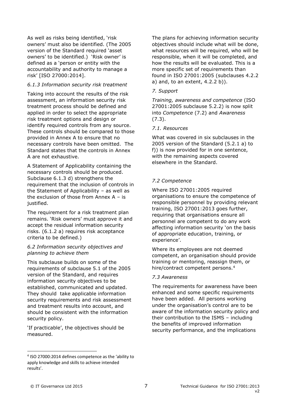As well as risks being identified, 'risk owners' must also be identified. (The 2005 version of the Standard required 'asset owners' to be identified.) 'Risk owner' is defined as a 'person or entity with the accountability and authority to manage a risk' [ISO 27000:2014].

#### *6.1.3 Information security risk treatment*

Taking into account the results of the risk assessment, an information security risk treatment process should be defined and applied in order to select the appropriate risk treatment options and design or identify required controls from any source. These controls should be compared to those provided in Annex A to ensure that no necessary controls have been omitted. The Standard states that the controls in Annex A are not exhaustive.

A Statement of Applicability containing the necessary controls should be produced. Subclause 6.1.3 d) strengthens the requirement that the inclusion of controls in the Statement of Applicability – as well as the exclusion of those from Annex  $A - is$ justified.

The requirement for a risk treatment plan remains. 'Risk owners' must approve it and accept the residual information security risks. (6.1.2 a) requires risk acceptance criteria to be defined.)

#### *6.2 Information security objectives and planning to achieve them*

This subclause builds on some of the requirements of subclause 5.1 of the 2005 version of the Standard, and requires information security objectives to be established, communicated and updated. They should take applicable information security requirements and risk assessment and treatment results into account, and should be consistent with the information security policy.

'If practicable', the objectives should be measured.

The plans for achieving information security objectives should include what will be done, what resources will be required, who will be responsible, when it will be completed, and how the results will be evaluated. This is a more specific set of requirements than found in ISO 27001:2005 (subclauses 4.2.2 a) and, to an extent, 4.2.2 b)).

#### *7. Support*

*Training, awareness and competence* (ISO 27001:2005 subclause 5.2.2) is now split into *Competence* (7.2) and *Awareness* (7.3).

#### *7.1. Resources*

What was covered in six subclauses in the 2005 version of the Standard (5.2.1 a) to f)) is now provided for in one sentence, with the remaining aspects covered elsewhere in the Standard.

#### *7.2 Competence*

Where ISO 27001:2005 required organisations to ensure the competence of responsible personnel by providing relevant training, ISO 27001:2013 goes further, requiring that organisations ensure all personnel are competent to do any work affecting information security 'on the basis of appropriate education, training, or experience'.

Where its employees are not deemed competent, an organisation should provide training or mentoring, reassign them, or hire/contract competent persons.<sup>4</sup>

#### *7.3 Awareness*

The requirements for awareness have been enhanced and some specific requirements have been added. All persons working under the organisation's control are to be aware of the information security policy and their contribution to the ISMS – including the benefits of improved information security performance, and the implications

<sup>4</sup> ISO 27000:2014 defines competence as the 'ability to apply knowledge and skills to achieve intended results'.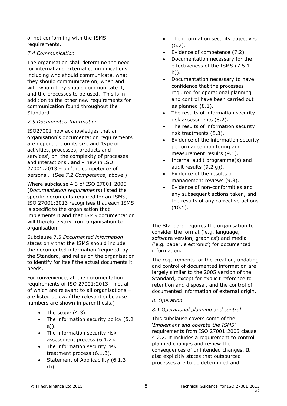of not conforming with the ISMS requirements.

#### *7.4 Communication*

The organisation shall determine the need for internal and external communications, including who should communicate, what they should communicate on, when and with whom they should communicate it, and the processes to be used. This is in addition to the other new requirements for communication found throughout the Standard.

#### *7.5 Documented Information*

ISO27001 now acknowledges that an organisation's documentation requirements are dependent on its size and 'type of activities, processes, products and services', on 'the complexity of processes and interactions', and – new in ISO  $27001:2013$  – on 'the competence of persons'. (See *7.2 Competence*, above.)

Where subclause 4.3 of ISO 27001:2005 (*Documentation requirements*) listed the specific documents required for an ISMS, ISO 27001:2013 recognises that each ISMS is specific to the organisation that implements it and that ISMS documentation will therefore vary from organisation to organisation.

Subclause 7.5 *Documented information* states only that the ISMS should include the documented information 'required' by the Standard, and relies on the organisation to identify for itself the actual documents it needs.

For convenience, all the documentation requirements of ISO 27001:2013 – not all of which are relevant to all organisations – are listed below. (The relevant subclause numbers are shown in parenthesis.)

- The scope  $(4.3)$ .
- The information security policy (5.2) e)).
- The information security risk assessment process (6.1.2).
- The information security risk treatment process (6.1.3).
- Statement of Applicability (6.1.3 d)).
- The information security objectives (6.2).
- Evidence of competence (7.2).
- Documentation necessary for the effectiveness of the ISMS (7.5.1 b)).
- Documentation necessary to have confidence that the processes required for operational planning and control have been carried out as planned (8.1).
- The results of information security risk assessments (8.2).
- The results of information security risk treatments (8.3).
- Evidence of the information security performance monitoring and measurement results (9.1).
- Internal audit programme(s) and audit results (9.2 g)).
- Evidence of the results of management reviews (9.3).
- Evidence of non-conformities and any subsequent actions taken, and the results of any corrective actions (10.1).

The Standard requires the organisation to consider the format ('e.g. language, software version, graphics') and media ('e.g. paper, electronic') for documented information.

The requirements for the creation, updating and control of documented information are largely similar to the 2005 version of the Standard, except for explicit reference to retention and disposal, and the control of documented information of external origin.

#### *8. Operation*

#### *8.1 Operational planning and control*

This subclause covers some of the '*Implement and operate the ISMS*' requirements from ISO 27001:2005 clause 4.2.2. It includes a requirement to control planned changes and review the consequences of unintended changes. It also explicitly states that outsourced processes are to be determined and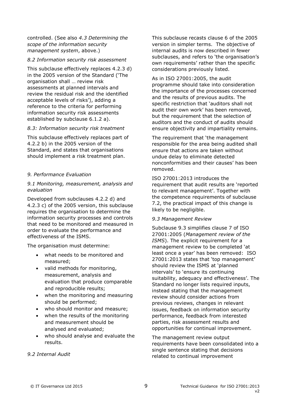controlled. (See also *4.3 Determining the scope of the information security management system*, above.)

#### *8.2 Information security risk assessment*

This subclause effectively replaces 4.2.3 d) in the 2005 version of the Standard ('The organisation shall … review risk assessments at planned intervals and review the residual risk and the identified acceptable levels of risks'), adding a reference to the criteria for performing information security risk assessments established by subclause 6.1.2 a).

#### *8.3: Information security risk treatment*

This subclause effectively replaces part of 4.2.2 b) in the 2005 version of the Standard, and states that organisations should implement a risk treatment plan.

#### *9. Performance Evaluation*

#### *9.1 Monitoring, measurement, analysis and evaluation*

Developed from subclauses 4.2.2 d) and 4.2.3 c) of the 2005 version, this subclause requires the organisation to determine the information security processes and controls that need to be monitored and measured in order to evaluate the performance and effectiveness of the ISMS.

The organisation must determine:

- what needs to be monitored and measured;
- valid methods for monitoring, measurement, analysis and evaluation that produce comparable and reproducible results;
- when the monitoring and measuring should be performed;
- who should monitor and measure;
- when the results of the monitoring and measurement should be analysed and evaluated;
- who should analyse and evaluate the results.

#### *9.2 Internal Audit*

This subclause recasts clause 6 of the 2005 version in simpler terms. The objective of internal audits is now described in fewer subclauses, and refers to 'the organisation's own requirements' rather than the specific considerations previously listed.

As in ISO 27001:2005, the audit programme should take into consideration the importance of the processes concerned and the results of previous audits. The specific restriction that 'auditors shall not audit their own work' has been removed, but the requirement that the selection of auditors and the conduct of audits should ensure objectivity and impartiality remains.

The requirement that 'the management responsible for the area being audited shall ensure that actions are taken without undue delay to eliminate detected nonconformities and their causes' has been removed.

ISO 27001:2013 introduces the requirement that audit results are 'reported to relevant management'. Together with the competence requirements of subclause 7.2, the practical impact of this change is likely to be negligible.

#### *9.3 Management Review*

Subclause 9.3 simplifies clause 7 of ISO 27001:2005 (*Management review of the ISMS*). The explicit requirement for a management review to be completed 'at least once a year' has been removed: ISO 27001:2013 states that 'top management' should review the ISMS at 'planned intervals' to 'ensure its continuing suitability, adequacy and effectiveness'. The Standard no longer lists required inputs, instead stating that the management review should consider actions from previous reviews, changes in relevant issues, feedback on information security performance, feedback from interested parties, risk assessment results and opportunities for continual improvement.

The management review output requirements have been consolidated into a single sentence stating that decisions related to continual improvement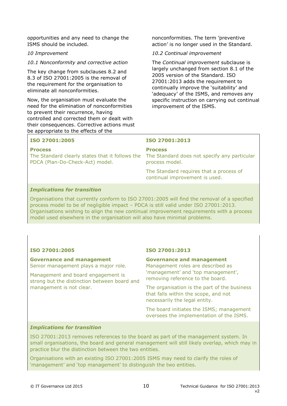opportunities and any need to change the ISMS should be included.

#### *10 Improvement*

*10.1 Nonconformity and corrective action*

The key change from subclauses 8.2 and 8.3 of ISO 27001:2005 is the removal of the requirement for the organisation to eliminate all nonconformities.

Now, the organisation must evaluate the need for the elimination of nonconformities to prevent their recurrence, having controlled and corrected them or dealt with their consequences. Corrective actions must be appropriate to the effects of the

nonconformities. The term 'preventive action' is no longer used in the Standard.

#### *10.2 Continual improvement*

The *Continual improvement* subclause is largely unchanged from section 8.1 of the 2005 version of the Standard. ISO 27001:2013 adds the requirement to continually improve the 'suitability' and 'adequacy' of the ISMS, and removes any specific instruction on carrying out continual improvement of the ISMS.

#### **ISO 27001:2005**

#### **Process**

The Standard clearly states that it follows the The Standard does not specify any particular PDCA (Plan-Do-Check-Act) model.

#### **ISO 27001:2013**

#### **Process**

process model.

The Standard requires that a process of continual improvement is used.

#### *Implications for transition*

Organisations that currently conform to ISO 27001:2005 will find the removal of a specified process model to be of negligible impact – PDCA is still valid under ISO 27001:2013. Organisations wishing to align the new continual improvement requirements with a process model used elsewhere in the organisation will also have minimal problems.

#### **ISO 27001:2005**

**Governance and management** Senior management plays a major role.

Management and board engagement is strong but the distinction between board and management is not clear.

#### **ISO 27001:2013**

#### **Governance and management**

Management roles are described as 'management' and 'top management', removing reference to the board.

The organisation is the part of the business that falls within the scope, and not necessarily the legal entity.

The board initiates the ISMS; management oversees the implementation of the ISMS.

#### *Implications for transition*

ISO 27001:2013 removes references to the board as part of the management system. In small organisations, the board and general management will still likely overlap, which may in practice blur the distinction between the two entities.

Organisations with an existing ISO 27001:2005 ISMS may need to clarify the roles of 'management' and 'top management' to distinguish the two entities.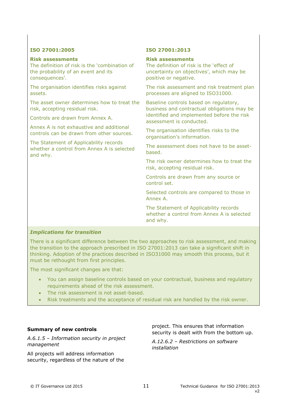#### **ISO 27001:2005**

#### **Risk assessments**

The definition of risk is the 'combination of the probability of an event and its consequences'.

The organisation identifies risks against assets.

The asset owner determines how to treat the risk, accepting residual risk.

Controls are drawn from Annex A.

Annex A is not exhaustive and additional controls can be drawn from other sources.

The Statement of Applicability records whether a control from Annex A is selected and why.

#### **ISO 27001:2013**

#### **Risk assessments**

The definition of risk is the 'effect of uncertainty on objectives', which may be positive or negative.

The risk assessment and risk treatment plan processes are aligned to ISO31000.

Baseline controls based on regulatory, business and contractual obligations may be identified and implemented before the risk assessment is conducted.

The organisation identifies risks to the organisation's information.

The assessment does not have to be assetbased.

The risk owner determines how to treat the risk, accepting residual risk.

Controls are drawn from any source or control set.

Selected controls are compared to those in Annex A.

The Statement of Applicability records whether a control from Annex A is selected and why.

#### *Implications for transition*

There is a significant difference between the two approaches to risk assessment, and making the transition to the approach prescribed in ISO 27001:2013 can take a significant shift in thinking. Adoption of the practices described in ISO31000 may smooth this process, but it must be rethought from first principles.

The most significant changes are that:

- You can assign baseline controls based on your contractual, business and regulatory requirements ahead of the risk assessment.
- The risk assessment is not asset-based.
- Risk treatments and the acceptance of residual risk are handled by the risk owner.

#### **Summary of new controls**

*A.6.1.5 – Information security in project management*

All projects will address information security, regardless of the nature of the project. This ensures that information security is dealt with from the bottom up.

*A.12.6.2 – Restrictions on software installation*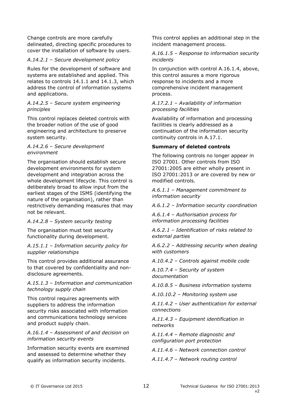Change controls are more carefully delineated, directing specific procedures to cover the installation of software by users.

#### *A.14.2.1 – Secure development policy*

Rules for the development of software and systems are established and applied. This relates to controls 14.1.1 and 14.1.3, which address the control of information systems and applications.

#### *A.14.2.5 – Secure system engineering principles*

This control replaces deleted controls with the broader notion of the use of good engineering and architecture to preserve system security.

#### *A.14.2.6 – Secure development environment*

The organisation should establish secure development environments for system development and integration across the whole development lifecycle. This control is deliberately broad to allow input from the earliest stages of the ISMS (identifying the nature of the organisation), rather than restrictively demanding measures that may not be relevant.

#### *A.14.2.8 – System security testing*

The organisation must test security functionality during development.

*A.15.1.1 – Information security policy for supplier relationships*

This control provides additional assurance to that covered by confidentiality and nondisclosure agreements.

#### *A.15.1.3 – Information and communication technology supply chain*

This control requires agreements with suppliers to address the information security risks associated with information and communications technology services and product supply chain.

*A.16.1.4 – Assessment of and decision on information security events*

Information security events are examined and assessed to determine whether they qualify as information security incidents.

This control applies an additional step in the incident management process.

#### *A.16.1.5 – Response to information security incidents*

In conjunction with control A.16.1.4, above, this control assures a more rigorous response to incidents and a more comprehensive incident management process.

#### *A.17.2.1 – Availability of information processing facilities*

Availability of information and processing facilities is clearly addressed as a continuation of the information security continuity controls in A.17.1.

#### **Summary of deleted controls**

The following controls no longer appear in ISO 27001. Other controls from ISO 27001:2005 are either wholly present in ISO 27001:2013 or are covered by new or modified controls.

*A.6.1.1 – Management commitment to information security*

*A.6.1.2 – Information security coordination*

*A.6.1.4 – Authorisation process for information processing facilities*

*A.6.2.1 – Identification of risks related to external parties*

*A.6.2.2 – Addressing security when dealing with customers*

*A.10.4.2 – Controls against mobile code*

*A.10.7.4 – Security of system documentation*

*A.10.8.5 – Business information systems*

*A.10.10.2 – Monitoring system use*

*A.11.4.2 – User authentication for external connections*

*A.11.4.3 – Equipment identification in networks*

*A.11.4.4 – Remote diagnostic and configuration port protection*

*A.11.4.6 – Network connection control*

*A.11.4.7 – Network routing control*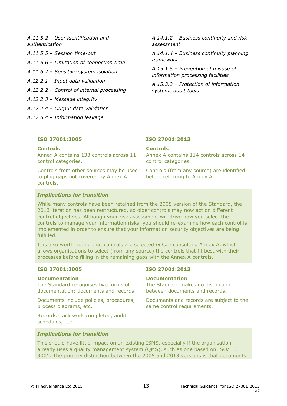*A.11.5.2 – User identification and authentication*

- *A.11.5.5 – Session time-out*
- *A.11.5.6 – Limitation of connection time*
- *A.11.6.2 – Sensitive system isolation*
- *A.12.2.1 – Input data validation*
- *A.12.2.2 – Control of internal processing*
- *A.12.2.3 – Message integrity*
- *A.12.2.4 – Output data validation*
- *A.12.5.4 – Information leakage*

*A.14.1.2 – Business continuity and risk assessment*

*A.14.1.4 – Business continuity planning framework*

*A.15.1.5 – Prevention of misuse of information processing facilities*

*A.15.3.2 – Protection of information systems audit tools*

#### **ISO 27001:2005**

#### **Controls**

Annex A contains 133 controls across 11 control categories.

Controls from other sources may be used to plug gaps not covered by Annex A controls.

#### **ISO 27001:2013**

#### **Controls**

Annex A contains 114 controls across 14 control categories.

Controls (from any source) are identified before referring to Annex A.

#### *Implications for transition*

While many controls have been retained from the 2005 version of the Standard, the 2013 iteration has been restructured, so older controls may now act on different control objectives. Although your risk assessment will drive how you select the controls to manage your information risks, you should re-examine how each control is implemented in order to ensure that your information security objectives are being fulfilled.

It is also worth noting that controls are selected *before* consulting Annex A, which allows organisations to select (from any source) the controls that fit best with their processes before filling in the remaining gaps with the Annex A controls.

#### **ISO 27001:2005**

#### **Documentation**

The Standard recognises two forms of documentation: documents and records.

Documents include policies, procedures, process diagrams, etc.

Records track work completed, audit schedules, etc.

#### **ISO 27001:2013**

#### **Documentation**

The Standard makes no distinction between documents and records.

Documents and records are subject to the same control requirements.

*Implications for transition*

This should have little impact on an existing ISMS, especially if the organisation already uses a quality management system (QMS), such as one based on ISO/IEC 9001. The primary distinction between the 2005 and 2013 versions is that documents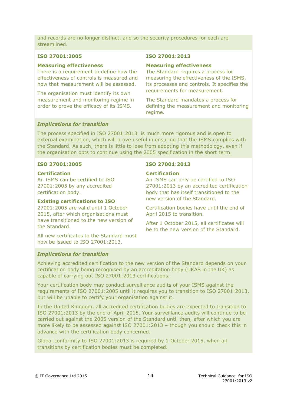and records are no longer distinct, and so the security procedures for each are streamlined.

#### **ISO 27001:2005**

#### **Measuring effectiveness**

There is a requirement to define how the effectiveness of controls is measured and how that measurement will be assessed.

The organisation must identify its own measurement and monitoring regime in order to prove the efficacy of its ISMS.

#### **ISO 27001:2013**

#### **Measuring effectiveness**

The Standard requires a process for measuring the effectiveness of the ISMS, its processes and controls. It specifies the requirements for measurement.

The Standard mandates a process for defining the measurement and monitoring regime.

#### *Implications for transition*

The process specified in ISO 27001:2013 is much more rigorous and is open to external examination, which will prove useful in ensuring that the ISMS complies with the Standard. As such, there is little to lose from adopting this methodology, even if the organisation opts to continue using the 2005 specification in the short term.

#### **ISO 27001:2005**

#### **Certification**

An ISMS can be certified to ISO 27001:2005 by any accredited certification body.

#### **Existing certifications to ISO**

27001:2005 are valid until 1 October 2015, after which organisations must have transitioned to the new version of the Standard.

All new certificates to the Standard must now be issued to ISO 27001:2013.

#### **ISO 27001:2013**

#### **Certification**

An ISMS can only be certified to ISO 27001:2013 by an accredited certification body that has itself transitioned to the new version of the Standard.

Certification bodies have until the end of April 2015 to transition.

After 1 October 2015, all certificates will be to the new version of the Standard.

#### *Implications for transition*

Achieving accredited certification to the new version of the Standard depends on your certification body being recognised by an accreditation body (UKAS in the UK) as capable of carrying out ISO 27001:2013 certifications.

Your certification body may conduct surveillance audits of your ISMS against the requirements of ISO 27001:2005 until it requires you to transition to ISO 27001:2013, but will be unable to certify your organisation against it.

In the United Kingdom, all accredited certification bodies are expected to transition to ISO 27001:2013 by the end of April 2015. Your surveillance audits will continue to be carried out against the 2005 version of the Standard until then, after which you are more likely to be assessed against ISO 27001:2013 – though you should check this in advance with the certification body concerned.

Global conformity to ISO 27001:2013 is required by 1 October 2015, when all transitions by certification bodies must be completed.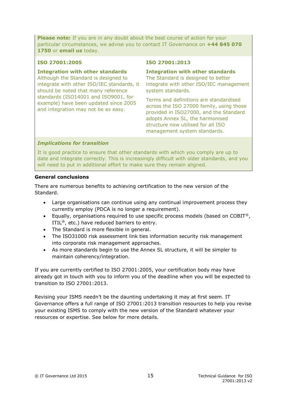**Please note:** If you are in any doubt about the best course of action for your particular circumstances, we advise you to contact IT Governance on **+44 845 070 1750** or **[email us](mailto:servicecentre@itgovernance.co.uk)** today.

#### **ISO 27001:2005**

**Integration with other standards**

Although the Standard is designed to integrate with other ISO/IEC standards, it should be noted that many reference standards (ISO14001 and ISO9001, for example) have been updated since 2005 and integration may not be as easy.

#### **ISO 27001:2013**

**Integration with other standards**

The Standard is designed to better integrate with other ISO/IEC management system standards.

Terms and definitions are standardised across the ISO 27000 family, using those provided in ISO27000, and the Standard adopts Annex SL, the harmonised structure now utilised for all ISO management system standards.

#### *Implications for transition*

It is good practice to ensure that other standards with which you comply are up to date and integrate correctly. This is increasingly difficult with older standards, and you will need to put in additional effort to make sure they remain aligned.

#### **General conclusions**

There are numerous benefits to achieving certification to the new version of the Standard.

- Large organisations can continue using any continual improvement process they currently employ (PDCA is no longer a requirement).
- **Equally, organisations required to use specific process models (based on COBIT®,** ITIL<sup>®</sup>, etc.) have reduced barriers to entry.
- The Standard is more flexible in general.
- The ISO31000 risk assessment link ties information security risk management into corporate risk management approaches.
- As more standards begin to use the Annex SL structure, it will be simpler to maintain coherency/integration.

If you are currently certified to ISO 27001:2005, your certification body may have already got in touch with you to inform you of the deadline when you will be expected to transition to ISO 27001:2013.

Revising your ISMS needn't be the daunting undertaking it may at first seem. IT Governance offers a full range of ISO 27001:2013 transition resources to help you revise your existing ISMS to comply with the new version of the Standard whatever your resources or expertise. See below for more details.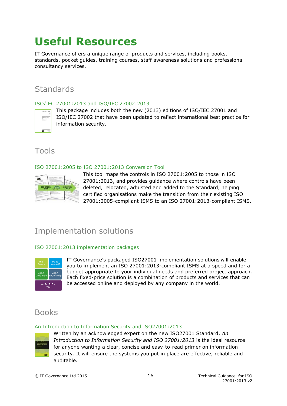## **Useful Resources**

IT Governance offers a unique range of products and services, including books, standards, pocket guides, training courses, staff awareness solutions and professional consultancy services.

## **Standards**

#### [ISO/IEC 27001:2013 and ISO/IEC 27002:2013](https://www.itgovernance.co.uk/shop/product/iso-iec-27001-2013-and-iso-iec-27002-2013?utm_source=green-paper&utm_medium=technicalguidance)

 $\frac{1}{2\sqrt{2}}$ 

This package includes both the new (2013) editions of ISO/IEC 27001 and ISO/IEC 27002 that have been updated to reflect international best practice for information security.

## Tools

### ISO 27001:2005 [to ISO 27001:2013 Conversion Tool](https://www.itgovernance.co.uk/shop/product/iso-iec-27001-2013-and-iso-iec-27002-2013utm_source=green-paper&utm_medium=technicalguidance)



This tool maps the controls in ISO 27001:2005 to those in ISO 27001:2013, and provides guidance where controls have been deleted, relocated, adjusted and added to the Standard, helping certified organisations make the transition from their existing ISO 27001:2005-compliant ISMS to an ISO 27001:2013-compliant ISMS.

## Implementation solutions

#### ISO 27001:2013 [implementation](https://www.itgovernance.co.uk/iso27001-solutions?utm_source=green-paper&utm_medium=technicalguidance) packages



IT Governance's packaged ISO27001 implementation solutions will enable you to implement an ISO 27001:2013-compliant ISMS at a speed and for a budget appropriate to your individual needs and preferred project approach. Each fixed-price solution is a combination of products and services that can be accessed online and deployed by any company in the world.

### Books

#### [An Introduction to Information Security and ISO27001:2013](https://www.itgovernance.co.uk/shop/product/an-introduction-to-information-security-and-iso-27001-2013-a-pocket-guide-second-edition?utm_source=green-paper&utm_medium=technicalguidance)



Written by an acknowledged expert on the new ISO27001 Standard, *An Introduction to Information Security and ISO 27001:2013* is the ideal resource for anyone wanting a clear, concise and easy-to-read primer on information security. It will ensure the systems you put in place are effective, reliable and auditable.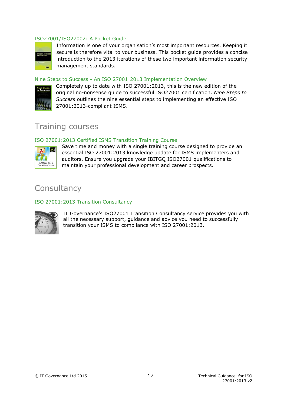#### [ISO27001/ISO27002: A Pocket Guide](https://www.itgovernance.co.uk/shop/product/iso27001iso27002-a-pocket-guide-second-edition?utm_source=green-paper&utm_medium=technicalguidance)



Information is one of your organisation's most important resources. Keeping it secure is therefore vital to your business. This pocket guide provides a concise introduction to the 2013 iterations of these two important information security management standards.

#### Nine Steps to Success - [An ISO 27001:2013 Implementation Overview](https://www.itgovernance.co.uk/shop/product/nine-steps-to-success-an-iso-27001-implementation-overview-third-edition?utm_source=green-paper&utm_medium=technicalguidance)



Completely up to date with ISO 27001:2013, this is the new edition of the original no-nonsense guide to successful ISO27001 certification. *Nine Steps to Success* outlines the nine essential steps to implementing an effective ISO 27001:2013-compliant ISMS.

### Training courses

#### [ISO 27001:2013 Certified ISMS Transition Training Course](https://www.itgovernance.co.uk/shop/product/iso27001-2013-certified-isms-transition-training-course?utm_source=green-paper&utm_medium=technicalguidance)



Save time and money with a single training course designed to provide an essential ISO 27001:2013 knowledge update for ISMS implementers and auditors. Ensure you upgrade your IBITGQ ISO27001 qualifications to maintain your professional development and career prospects.

### **Consultancy**

#### ISO [27001:2013 Transition Consultancy](https://www.itgovernance.co.uk/shop/product/iso27001-2013-transition-consultancy?utm_source=green-paper&utm_medium=technicalguidance)



IT Governance's ISO27001 Transition Consultancy service provides you with all the necessary support, guidance and advice you need to successfully transition your ISMS to compliance with ISO 27001:2013.